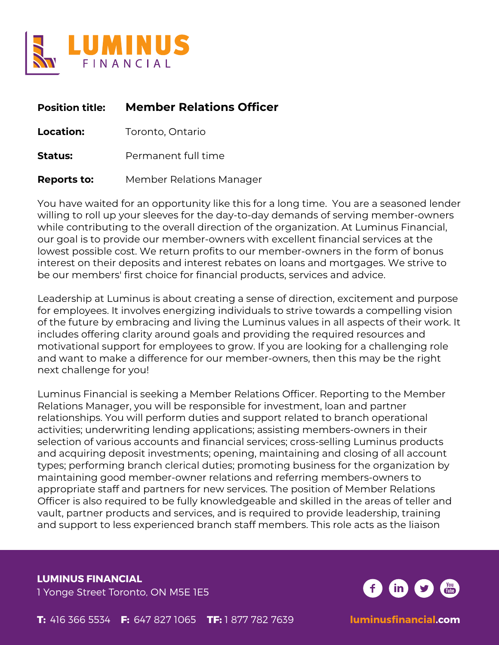

| <b>Position title:</b> | <b>Member Relations Officer</b> |
|------------------------|---------------------------------|
| <b>Location:</b>       | Toronto, Ontario                |
| <b>Status:</b>         | Permanent full time             |
| <b>Reports to:</b>     | Member Relations Manager        |

You have waited for an opportunity like this for a long time. You are a seasoned lender willing to roll up your sleeves for the day-to-day demands of serving member-owners while contributing to the overall direction of the organization. At Luminus Financial, our goal is to provide our member-owners with excellent financial services at the lowest possible cost. We return profits to our member-owners in the form of bonus interest on their deposits and interest rebates on loans and mortgages. We strive to be our members' first choice for financial products, services and advice.

Leadership at Luminus is about creating a sense of direction, excitement and purpose for employees. It involves energizing individuals to strive towards a compelling vision of the future by embracing and living the Luminus values in all aspects of their work. It includes offering clarity around goals and providing the required resources and motivational support for employees to grow. If you are looking for a challenging role and want to make a difference for our member-owners, then this may be the right next challenge for you!

Luminus Financial is seeking a Member Relations Officer. Reporting to the Member Relations Manager, you will be responsible for investment, loan and partner relationships. You will perform duties and support related to branch operational activities; underwriting lending applications; assisting members-owners in their selection of various accounts and financial services; cross-selling Luminus products and acquiring deposit investments; opening, maintaining and closing of all account types; performing branch clerical duties; promoting business for the organization by maintaining good member-owner relations and referring members-owners to appropriate staff and partners for new services. The position of Member Relations Officer is also required to be fully knowledgeable and skilled in the areas of teller and vault, partner products and services, and is required to provide leadership, training and support to less experienced branch staff members. This role acts as the liaison

**LUMINUS FINANCIAL** 1 Yonge Street Toronto, ON M5E 1E5

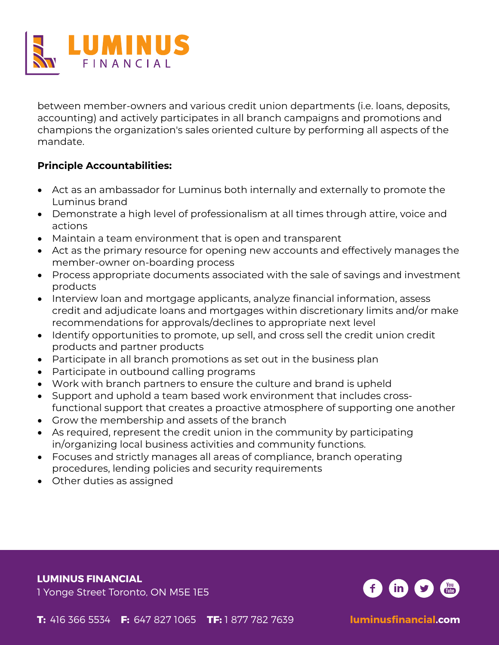

between member-owners and various credit union departments (i.e. loans, deposits, accounting) and actively participates in all branch campaigns and promotions and champions the organization's sales oriented culture by performing all aspects of the mandate.

#### **Principle Accountabilities:**

- Act as an ambassador for Luminus both internally and externally to promote the Luminus brand
- Demonstrate a high level of professionalism at all times through attire, voice and actions
- Maintain a team environment that is open and transparent
- Act as the primary resource for opening new accounts and effectively manages the member-owner on-boarding process
- Process appropriate documents associated with the sale of savings and investment products
- Interview loan and mortgage applicants, analyze financial information, assess credit and adjudicate loans and mortgages within discretionary limits and/or make recommendations for approvals/declines to appropriate next level
- Identify opportunities to promote, up sell, and cross sell the credit union credit products and partner products
- Participate in all branch promotions as set out in the business plan
- Participate in outbound calling programs
- Work with branch partners to ensure the culture and brand is upheld
- Support and uphold a team based work environment that includes cross-
- functional support that creates a proactive atmosphere of supporting one another
- Grow the membership and assets of the branch
- As required, represent the credit union in the community by participating in/organizing local business activities and community functions.
- Focuses and strictly manages all areas of compliance, branch operating procedures, lending policies and security requirements
- Other duties as assigned

**LUMINUS FINANCIAL**

1 Yonge Street Toronto, ON M5E 1E5

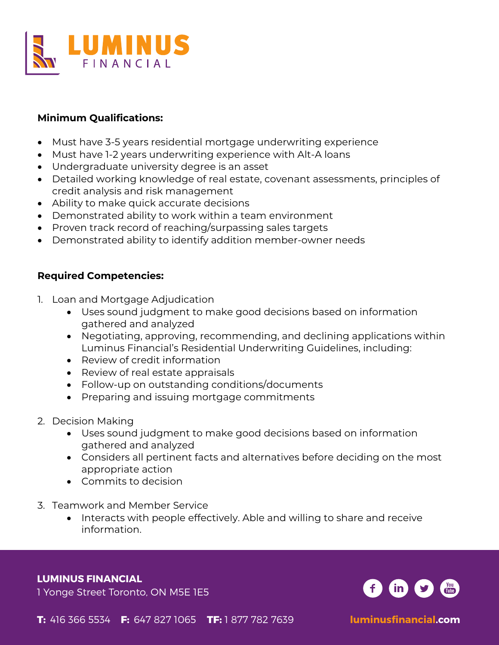

# **Minimum Qualifications:**

- Must have 3-5 years residential mortgage underwriting experience
- Must have 1-2 years underwriting experience with Alt-A loans
- Undergraduate university degree is an asset
- Detailed working knowledge of real estate, covenant assessments, principles of credit analysis and risk management
- Ability to make quick accurate decisions
- Demonstrated ability to work within a team environment
- Proven track record of reaching/surpassing sales targets
- Demonstrated ability to identify addition member-owner needs

## **Required Competencies:**

- 1. Loan and Mortgage Adjudication
	- Uses sound judgment to make good decisions based on information gathered and analyzed
	- Negotiating, approving, recommending, and declining applications within Luminus Financial's Residential Underwriting Guidelines, including:
	- Review of credit information
	- Review of real estate appraisals
	- Follow-up on outstanding conditions/documents
	- Preparing and issuing mortgage commitments
- 2. Decision Making
	- Uses sound judgment to make good decisions based on information gathered and analyzed
	- Considers all pertinent facts and alternatives before deciding on the most appropriate action
	- Commits to decision
- 3. Teamwork and Member Service
	- Interacts with people effectively. Able and willing to share and receive information.

#### **LUMINUS FINANCIAL**

1 Yonge Street Toronto, ON M5E 1E5